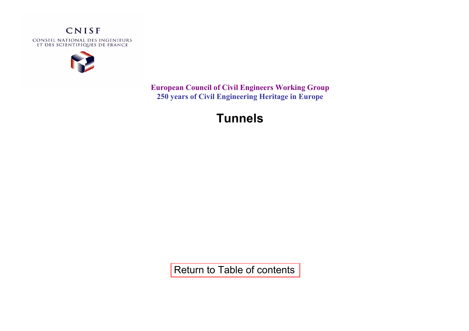

**European Council of Civil Engineers Working Group 250 years of Civil Engineering Heritage in Europe** 

# **Tunnels**

[Return to Table of contents](http://www.iesf.fr/upload/pdf/civil_engineering_heritage.pdf)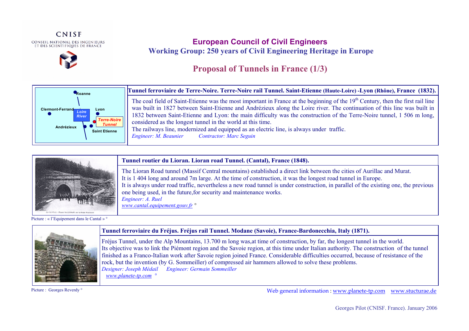



### **European Council of Civil Engineers Working Group: 250 years of Civil Engineering Heritage in Europe**

# **Proposal of Tunnels in France (1/3)**



**Tunnel ferroviaire de Terre-Noire. Terre-Noire rail Tunnel. Saint-Etienne (Haute-Loire) -Lyon (Rhône), France (1832).** 

The coal field of Saint-Etienne was the most important in France at the beginning of the 19<sup>th</sup> Century, then the first rail line was built in 1827 between Saint-Etienne and Andrézieux along the Loire river. The continuation of this line was built in 1832 between Saint-Etienne and Lyon: the main difficulty was the construction of the Terre-Noire tunnel, 1 506 m long, considered as the longest tunnel in the world at this time. The railways line, modernized and equipped as an electric line, is always under traffic.

*Engineer: M. Beaunier Contractor: Marc Seguin* 



#### Picture : « l'Equipement dans le Cantal » °



#### **Tunnel ferroviaire du Fréjus. Fréjus rail Tunnel. Modane (Savoie), France-Bardonecchia, Italy (1871).**

Fréjus Tunnel, under the Alp Mountains, 13.700 m long was,at time of construction, by far, the longest tunnel in the world. Its objective was to link the Piémont region and the Savoie region, at this time under Italian authority. The construction of the tunnel finished as a Franco-Italian work after Savoie region joined France. Considerable difficulties occurred, because of resistance of the rock, but the invention (by G. Sommeiller) of compressed air hammers allowed to solve these problems. *Designer: Joseph Médail Engineer: Germain Sommeiller www.planete-tp.com °*

Picture : Georges Reverdy °

Web general information : www.planete-tp.com www.stucturae.de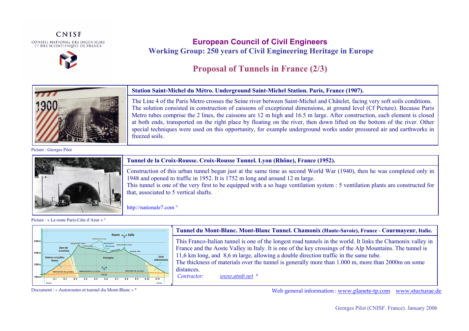



### **European Council of Civil Engineers Working Group: 250 years of Civil Engineering Heritage in Europe**

## **Proposal of Tunnels in France (2/3)**



#### **Station Saint-Michel du Métro. Underground Saint-Michel Station. Paris, France (1907).**

**.** The Line 4 of the Paris Metro crosses the Seine river between Saint-Michel and Châtelet, facing very soft soils conditions. The solution consisted in construction of caissons of exceptional dimensions, at ground level (Cf Picture). Because Paris Metro tubes comprise the 2 lines, the caissons are 12 m high and 16.5 m large. After construction, each element is closed at both ends, transported on the right place by floating on the river, then down lifted on the bottom of the river. Other special techniques were used on this opportunity, for example underground works under pressured air and earthworks in freezed soils.

Picture : Georges Pilot



#### **Tunnel de la Croix-Rousse. Croix-Rousse Tunnel. Lyon (Rhône), France (1952).**

Construction of this urban tunnel began just at the same time as second World War (1940), then he was completed only in 1948 and opened to traffic in 1952. It is 1752 m long and around 12 m large.

This tunnel is one of the very first to be equipped with a so huge ventilation system : 5 ventilation plants are constructed for that, associated to 5 vertical shafts.

http://nationale7.com °

Picture : « La route Paris-Côte d'Azur » °



#### **Tunnel du Mont-Blanc. Mont-Blanc Tunnel. Chamonix (Haute-Savoie), France** - **Courmayeur, Italie.**

This Franco-Italian tunnel is one of the longest road tunnels in the world. It links the Chamonix valley in France and the Aoste Valley in Italy. It is one of the key crossings of the Alp Mountains. The tunnel is 11,6 km long, and 8,6 m large, allowing a double direction traffic in the same tube.

The thickness of materials over the tunnel is generally more than 1.000 m, more than 2000m on some distances.

 *Contractor: www.atmb.net °* 

Web general information : www.planete-tp.com www.stucturae.de